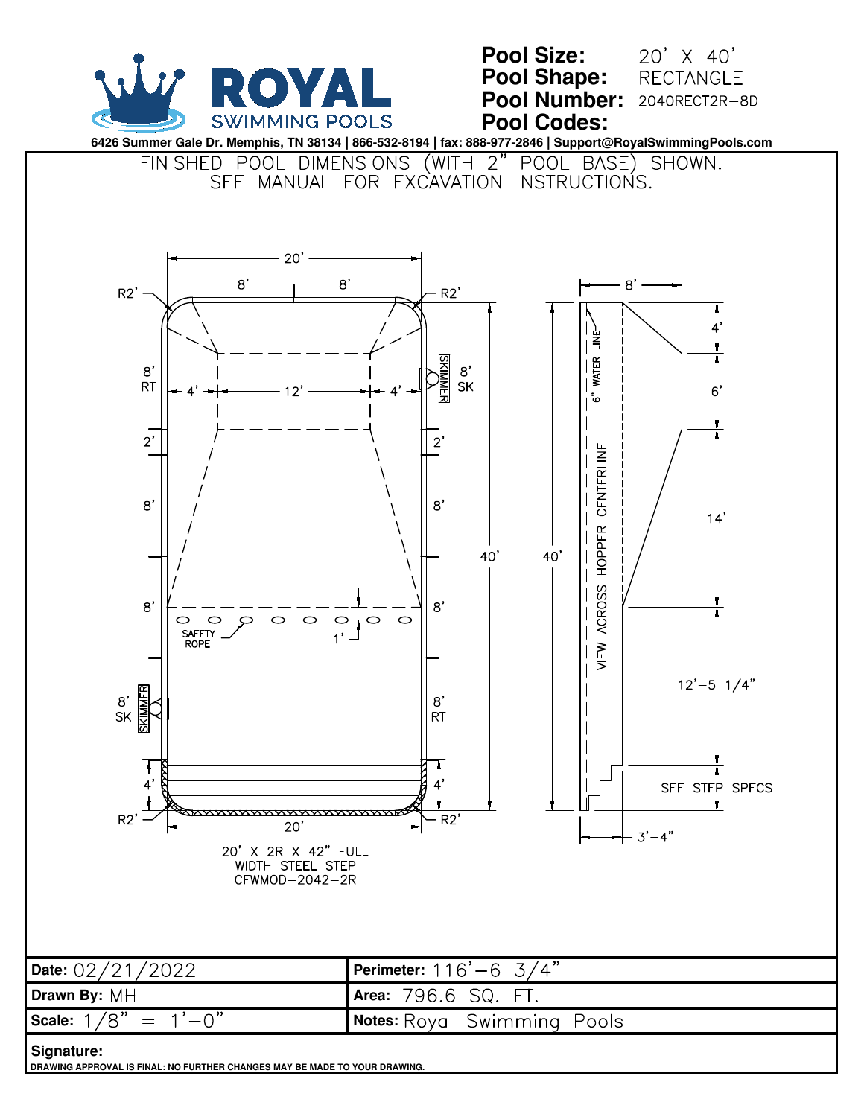

**DRAWING APPROVAL IS FINAL: NO FURTHER CHANGES MAY BE MADE TO YOUR DRAWING.**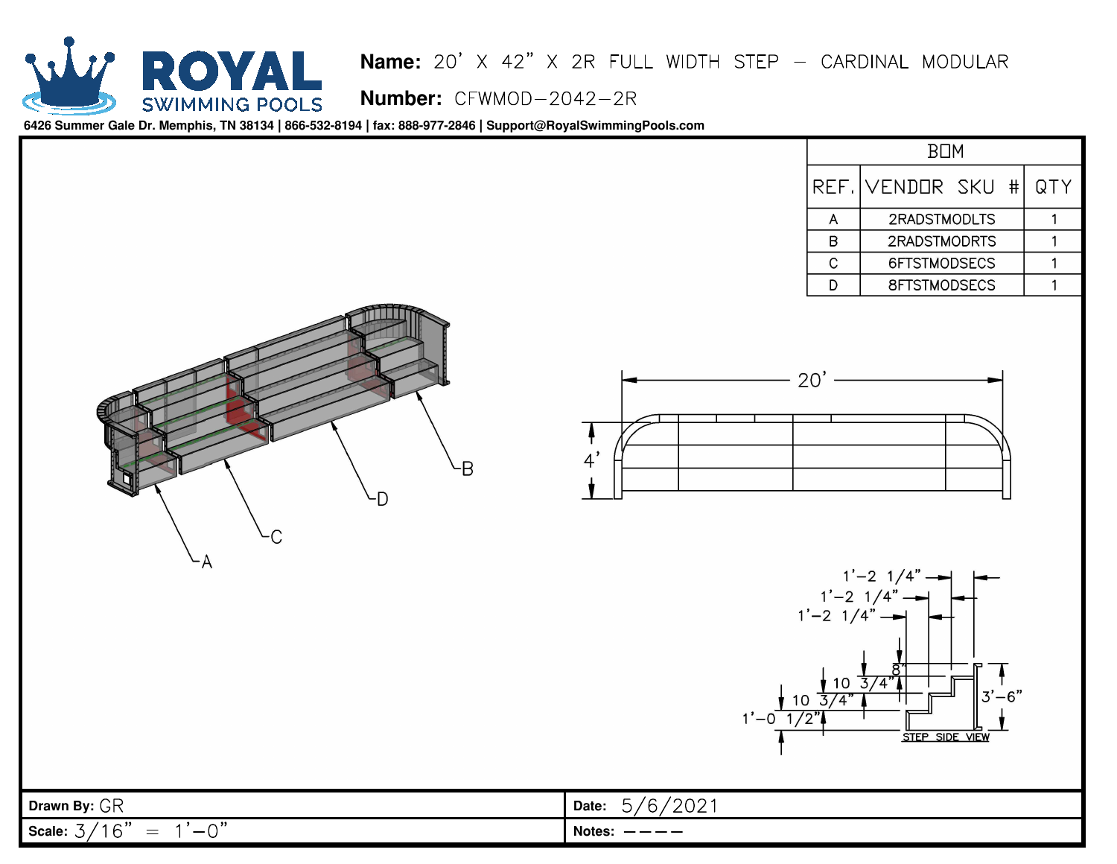

## **Name:** <mark>Name:</mark> 2<br>Number:

| <b>BUM</b> |                              |  |  |     |
|------------|------------------------------|--|--|-----|
|            | REF. VENDOR SKU #            |  |  | QTY |
|            | 2RADSTMODLTS                 |  |  |     |
| R          | 2RADSTMODRTS<br>6FTSTMODSECS |  |  |     |
| C          |                              |  |  |     |
|            | 8FTSTMODSECS                 |  |  |     |







|                                                                                                       | SILP SIDE VIEW   |
|-------------------------------------------------------------------------------------------------------|------------------|
|                                                                                                       |                  |
|                                                                                                       |                  |
| Drawn By: GR                                                                                          | Date: $5/6/2021$ |
| $'$ 1 $\cap$ "<br>$1'-0$ "<br>$\rightarrow$<br>$\,=\,$<br>Scale: $\mathfrak{Z}_{\mathscr{C}}$<br>, b. | Notes: $---$     |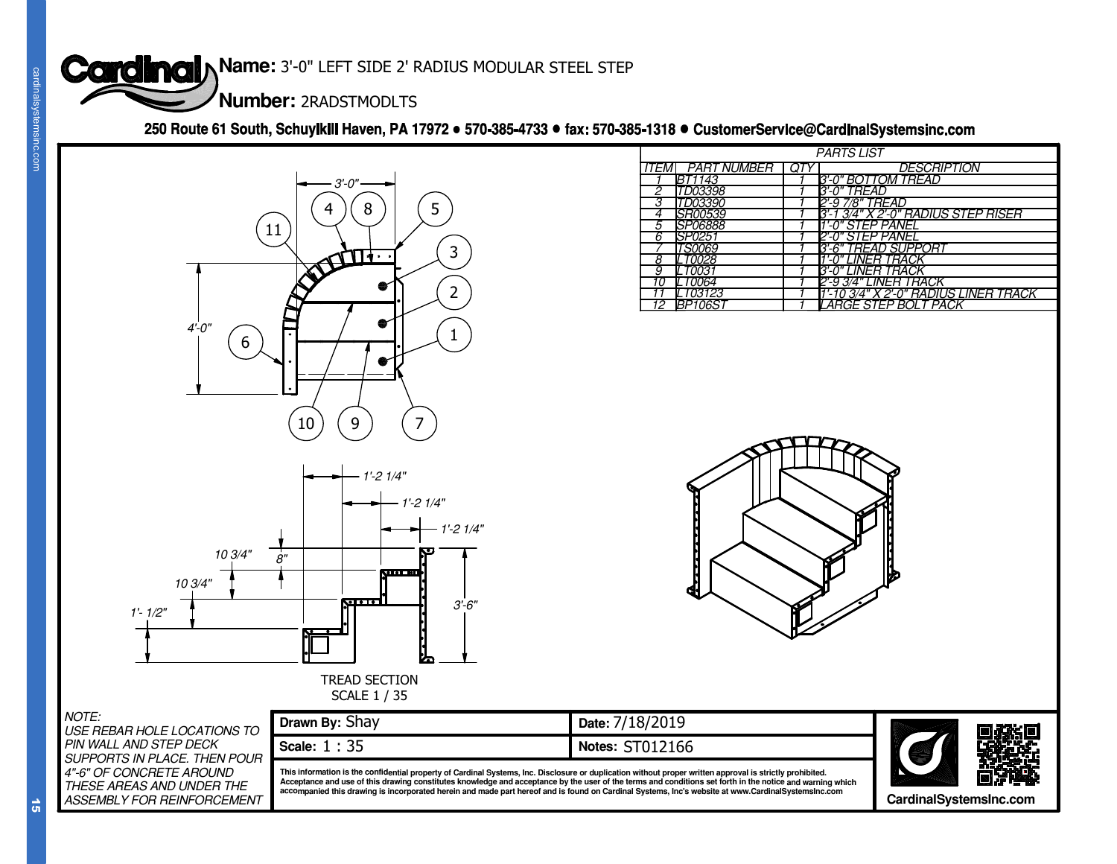



|                                                                                                                                                                                                                                                                                                                                                                                 | <b>Cardinal Name: 3'-0" LEFT SIDE 2' RADIUS MODULAR STEEL STEP</b> |                                                                                                                                                    |                                                                               |
|---------------------------------------------------------------------------------------------------------------------------------------------------------------------------------------------------------------------------------------------------------------------------------------------------------------------------------------------------------------------------------|--------------------------------------------------------------------|----------------------------------------------------------------------------------------------------------------------------------------------------|-------------------------------------------------------------------------------|
| cardinalsystemsinc.                                                                                                                                                                                                                                                                                                                                                             | Number: 2RADSTMODLTS                                               |                                                                                                                                                    |                                                                               |
|                                                                                                                                                                                                                                                                                                                                                                                 |                                                                    | 250 Route 61 South, Schuylkill Haven, PA 17972 · 570-385-4733 · fax: 570-385-1318 · CustomerService@CardinalSystemsinc.com                         |                                                                               |
|                                                                                                                                                                                                                                                                                                                                                                                 |                                                                    | <b>PARTS LIST</b>                                                                                                                                  |                                                                               |
|                                                                                                                                                                                                                                                                                                                                                                                 | $3 - 0"$                                                           | QTY<br><b>PART NUMBER</b><br>ITEMI<br>BT1143                                                                                                       | <b>DESCRIPTION</b><br>3'-0" BOTTOM TREAD                                      |
|                                                                                                                                                                                                                                                                                                                                                                                 |                                                                    | 3'-0" TREAD<br>TD03398<br>2'-9 7/8" TREAD<br>TD03390                                                                                               |                                                                               |
|                                                                                                                                                                                                                                                                                                                                                                                 | $5\phantom{.0}$<br>4<br>8<br>11                                    | <i>SR00539</i><br><b>SP06888</b>                                                                                                                   | <u>3'-1 3/4" X 2'-0" RADIUS STEP RISER</u><br>1'-0" STEP PANEI                |
|                                                                                                                                                                                                                                                                                                                                                                                 | $\overline{3}$                                                     | SP0251<br>6<br><b>TS0069</b>                                                                                                                       | 2'-0" STEP PANEI<br>3'-6" TREAD SUPPORT                                       |
|                                                                                                                                                                                                                                                                                                                                                                                 | <b>ATTT</b>                                                        | LT0028<br>8<br>LT0031<br>9                                                                                                                         | 1'-0" LINER TRACK<br>3'-0" LINER TRACK                                        |
|                                                                                                                                                                                                                                                                                                                                                                                 | $\overline{2}$                                                     | LT0064<br>10<br>LT03123<br>11                                                                                                                      | 2'-9 <u>'3/4" LINER TRACK</u><br><u>1'-10 3/4" X 2'-0" RADIUS LINER TRACK</u> |
|                                                                                                                                                                                                                                                                                                                                                                                 |                                                                    | <b>BP106S</b><br>12                                                                                                                                | LARGE STEP BOLT PACK                                                          |
| $4 - 0"$<br>6                                                                                                                                                                                                                                                                                                                                                                   |                                                                    |                                                                                                                                                    |                                                                               |
|                                                                                                                                                                                                                                                                                                                                                                                 |                                                                    |                                                                                                                                                    |                                                                               |
|                                                                                                                                                                                                                                                                                                                                                                                 |                                                                    |                                                                                                                                                    |                                                                               |
|                                                                                                                                                                                                                                                                                                                                                                                 |                                                                    |                                                                                                                                                    |                                                                               |
|                                                                                                                                                                                                                                                                                                                                                                                 | $\overline{7}$<br>$10\,$<br>9                                      |                                                                                                                                                    |                                                                               |
|                                                                                                                                                                                                                                                                                                                                                                                 |                                                                    |                                                                                                                                                    |                                                                               |
|                                                                                                                                                                                                                                                                                                                                                                                 | $- 1' - 2 1/4"$                                                    |                                                                                                                                                    |                                                                               |
|                                                                                                                                                                                                                                                                                                                                                                                 | $1' - 21/4"$                                                       |                                                                                                                                                    |                                                                               |
|                                                                                                                                                                                                                                                                                                                                                                                 | $1' - 21/4"$                                                       |                                                                                                                                                    |                                                                               |
|                                                                                                                                                                                                                                                                                                                                                                                 |                                                                    |                                                                                                                                                    |                                                                               |
| 10 3/4"                                                                                                                                                                                                                                                                                                                                                                         | ė"<br>$\mathbf{v}$ or $\mathbf{v}$                                 |                                                                                                                                                    |                                                                               |
| 10 3/4"                                                                                                                                                                                                                                                                                                                                                                         |                                                                    |                                                                                                                                                    |                                                                               |
| $1'$ - $1/2"$                                                                                                                                                                                                                                                                                                                                                                   | <b>SOOT</b><br>$3' - 6''$                                          |                                                                                                                                                    |                                                                               |
|                                                                                                                                                                                                                                                                                                                                                                                 |                                                                    |                                                                                                                                                    |                                                                               |
|                                                                                                                                                                                                                                                                                                                                                                                 |                                                                    |                                                                                                                                                    |                                                                               |
|                                                                                                                                                                                                                                                                                                                                                                                 | <b>TREAD SECTION</b>                                               |                                                                                                                                                    |                                                                               |
| SCALE 1 / 35                                                                                                                                                                                                                                                                                                                                                                    |                                                                    |                                                                                                                                                    |                                                                               |
| NOTE:<br>USE REBAR HOLE LOCATIONS TO                                                                                                                                                                                                                                                                                                                                            | Drawn By: Shay                                                     | Date: 7/18/2019                                                                                                                                    |                                                                               |
| PIN WALL AND STEP DECK<br>SUPPORTS IN PLACE. THEN POUR                                                                                                                                                                                                                                                                                                                          | Scale: 1:35                                                        | <b>Notes: ST012166</b>                                                                                                                             |                                                                               |
| 4"-6" OF CONCRETE AROUND<br>This information is the confidential property of Cardinal Systems, Inc. Disclosure or duplication without proper written approval is strictly prohibited.<br>Acceptance and use of this drawing constitutes knowledge and acceptance by the user of the terms and conditions set forth in the notice and warning which<br>THESE AREAS AND UNDER THE |                                                                    |                                                                                                                                                    |                                                                               |
| <b>ASSEMBLY FOR REINFORCEMENT</b><br>យា                                                                                                                                                                                                                                                                                                                                         |                                                                    | accompanied this drawing is incorporated herein and made part hereof and is found on Cardinal Systems, Inc's website at www.CardinalSystemslnc.com | CardinalSystemsInc.com                                                        |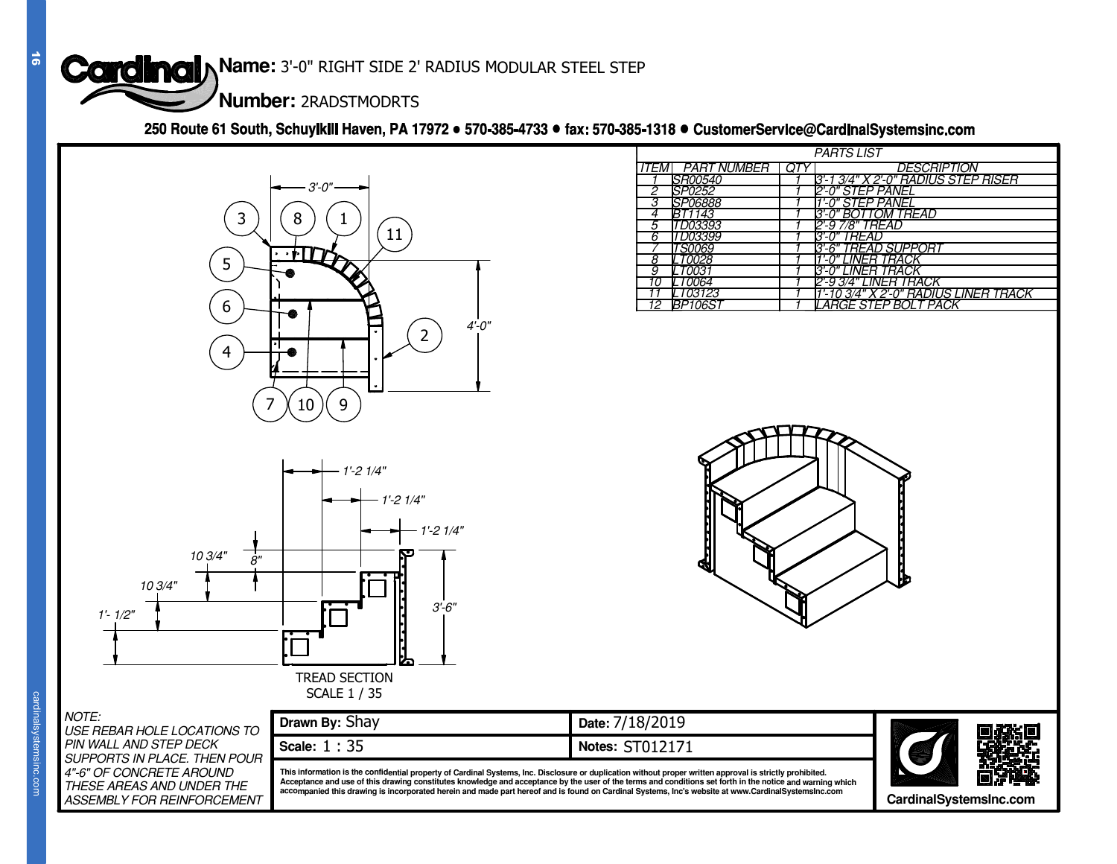

| $\vec{5}$              | <b>Cardinal Name: 3'-0" RIGHT SIDE 2' RADIUS MODULAR STEEL STEP</b><br>Number: 2RADSTMODRTS                                                                  |                                                                                                                                                                                                                                                                                                                                                                                                                                                                                                                                                                              |
|------------------------|--------------------------------------------------------------------------------------------------------------------------------------------------------------|------------------------------------------------------------------------------------------------------------------------------------------------------------------------------------------------------------------------------------------------------------------------------------------------------------------------------------------------------------------------------------------------------------------------------------------------------------------------------------------------------------------------------------------------------------------------------|
|                        |                                                                                                                                                              | 250 Route 61 South, Schuylkill Haven, PA 17972 • 570-385-4733 • fax: 570-385-1318 • CustomerService@CardinalSystemsinc.com                                                                                                                                                                                                                                                                                                                                                                                                                                                   |
|                        | $3 - 0"$<br>3<br>8<br>11<br>$5\phantom{.0}$<br>$6\phantom{1}6$<br>$4 - 0"$<br>$\overline{2}$<br>$\overline{4}$                                               | <b>PARTS LIST</b><br>QTY<br><b>DESCRIPTION</b><br>PART NUMBER<br>ITEMI<br><i>SR00540</i><br>3'-1 3/4" X 2'-0" RADIUS STEP RISER<br>SP0252<br>2'-0" STEP PANEL<br><i>SP06888</i><br>1'-0" STEP PANEL<br><i>3'-0" BOTTOM TREAD</i><br>BT1143<br>TD03393<br>2'-9 7/8" TREAD<br>TD03399<br>3'-0" TREAD<br>3'-6" TREAD SUPPORT<br><b>TS0069</b><br><i>LT0028</i><br><i>''-0" LINER TRACK</i><br>LT0031<br>" LINER TRACK<br>Ž'-9 3/4" LINER TRACK<br><b>LT0064</b><br>10<br>LT03123<br><u>1'-10 3/4" X 2'-0" RADIUS LINER TRACK</u><br><b>BP106S</b><br>LARGE STEP BOLT PACK<br>12 |
|                        | 9<br>10 <sup>°</sup><br>- 1'-2 1/4"<br>$1' - 21/4"$<br>$1' - 21/4"$<br>10 3/4"<br>8"<br>10 3/4"<br>$3'$ -6"<br>$1'$ - $1/2"$<br><b>TREAD SECTION</b>         |                                                                                                                                                                                                                                                                                                                                                                                                                                                                                                                                                                              |
|                        | <b>SCALE 1 / 35</b><br>NOTE:<br>Drawn By: Shay<br>USE REBAR HOLE LOCATIONS TO                                                                                | Date: 7/18/2019                                                                                                                                                                                                                                                                                                                                                                                                                                                                                                                                                              |
| cardinalsystemsinc.com | PIN WALL AND STEP DECK<br>Scale: 1:35<br>SUPPORTS IN PLACE. THEN POUR<br>4"-6" OF CONCRETE AROUND<br>THESE AREAS AND UNDER THE<br>ASSEMBLY FOR REINFORCEMENT | Notes: ST012171<br>This information is the confidential property of Cardinal Systems, Inc. Disclosure or duplication without proper written approval is strictly prohibited.<br>Acceptance and use of this drawing constitutes knowledge and acceptance by the user of the terms and conditions set forth in the notice and warning which<br>accompanied this drawing is incorporated herein and made part hereof and is found on Cardinal Systems, Inc's website at www.CardinalSystemsInc.com<br>CardinalSystemsInc.com                                                    |

| TF:<br>E REBAR HOLE LOCATIONS TO                                                                                 | Drawn By: Shay                                                                       |  |
|------------------------------------------------------------------------------------------------------------------|--------------------------------------------------------------------------------------|--|
| ' WALL AND STEP DECK                                                                                             | Scale: 1:35                                                                          |  |
| PPORTS IN PLACE. THEN POUR<br>" OF CONCRETE AROUND<br><i>ESE AREAS AND UNDER THE</i><br>SEMBLY FOR REINFORCEMENT | This information is the cor<br>Acceptance and use of thi<br>accompanied this drawind |  |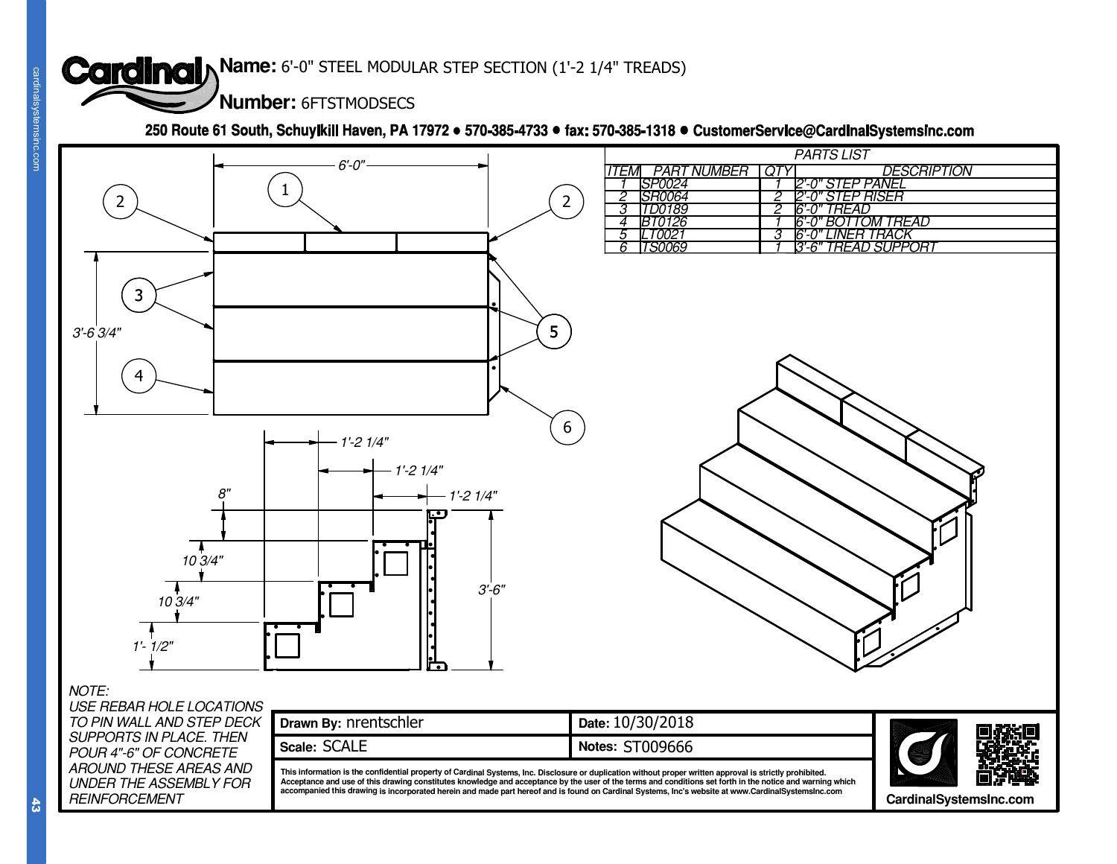